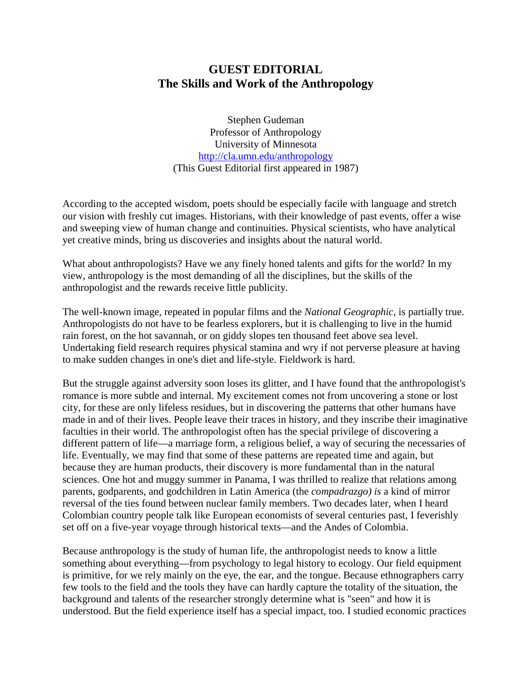## **GUEST EDITORIAL The Skills and Work of the Anthropology**

Stephen Gudeman Professor of Anthropology University of Minnesota http://cla.umn.edu/anthropology (This Guest Editorial first appeared in 1987)

According to the accepted wisdom, poets should be especially facile with language and stretch our vision with freshly cut images. Historians, with their knowledge of past events, offer a wise and sweeping view of human change and continuities. Physical scientists, who have analytical yet creative minds, bring us discoveries and insights about the natural world.

What about anthropologists? Have we any finely honed talents and gifts for the world? In my view, anthropology is the most demanding of all the disciplines, but the skills of the anthropologist and the rewards receive little publicity.

The well-known image, repeated in popular films and the *National Geographic,* is partially true. Anthropologists do not have to be fearless explorers, but it is challenging to live in the humid rain forest, on the hot savannah, or on giddy slopes ten thousand feet above sea level. Undertaking field research requires physical stamina and wry if not perverse pleasure at having to make sudden changes in one's diet and life-style. Fieldwork is hard.

But the struggle against adversity soon loses its glitter, and I have found that the anthropologist's romance is more subtle and internal. My excitement comes not from uncovering a stone or lost city, for these are only lifeless residues, but in discovering the patterns that other humans have made in and of their lives. People leave their traces in history, and they inscribe their imaginative faculties in their world. The anthropologist often has the special privilege of discovering a different pattern of life—a marriage form, a religious belief, a way of securing the necessaries of life. Eventually, we may find that some of these patterns are repeated time and again, but because they are human products, their discovery is more fundamental than in the natural sciences. One hot and muggy summer in Panama, I was thrilled to realize that relations among parents, godparents, and godchildren in Latin America (the *compadrazgo) is* a kind of mirror reversal of the ties found between nuclear family members. Two decades later, when I heard Colombian country people talk like European economists of several centuries past, I feverishly set off on a five-year voyage through historical texts—and the Andes of Colombia.

Because anthropology is the study of human life, the anthropologist needs to know a little something about everything—from psychology to legal history to ecology. Our field equipment is primitive, for we rely mainly on the eye, the ear, and the tongue. Because ethnographers carry few tools to the field and the tools they have can hardly capture the totality of the situation, the background and talents of the researcher strongly determine what is "seen" and how it is understood. But the field experience itself has a special impact, too. I studied economic practices